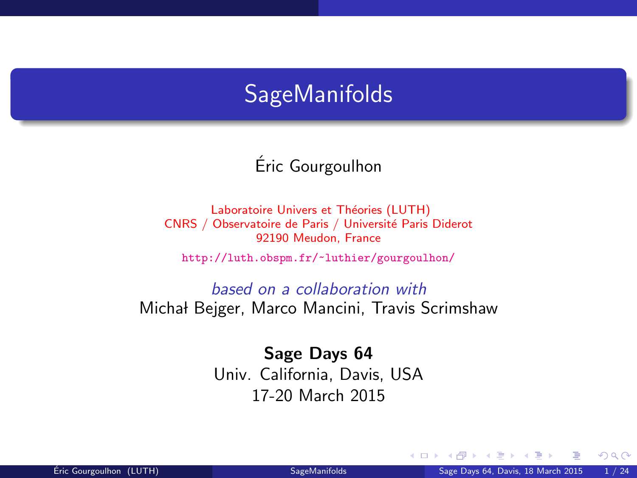# **SageManifolds**

Eric Gourgoulhon ´

Laboratoire Univers et Théories (LUTH) CNRS / Observatoire de Paris / Université Paris Diderot 92190 Meudon, France

<http://luth.obspm.fr/~luthier/gourgoulhon/>

based on a collaboration with Michał Bejger, Marco Mancini, Travis Scrimshaw

> Sage Days 64 Univ. California, Davis, USA 17-20 March 2015

<span id="page-0-0"></span>4 0 8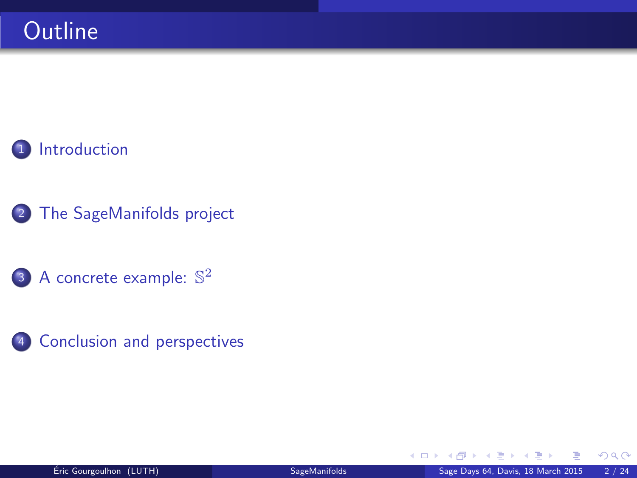

- 2 [The SageManifolds project](#page-4-0)
	- 3 [A concrete example:](#page-25-0)  $\mathbb{S}^2$
- 4 [Conclusion and perspectives](#page-27-0)

4 0 8 1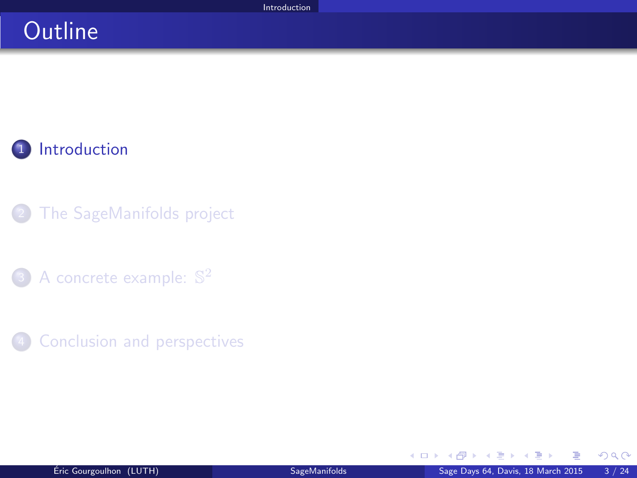# **Outline**

**1** [Introduction](#page-2-0)

- [The SageManifolds project](#page-4-0)
- 3 [A concrete example:](#page-25-0)  $\mathbb{S}^2$
- **[Conclusion and perspectives](#page-27-0)**

<span id="page-2-0"></span>AD > 4 E > 4 E

4 0 8 4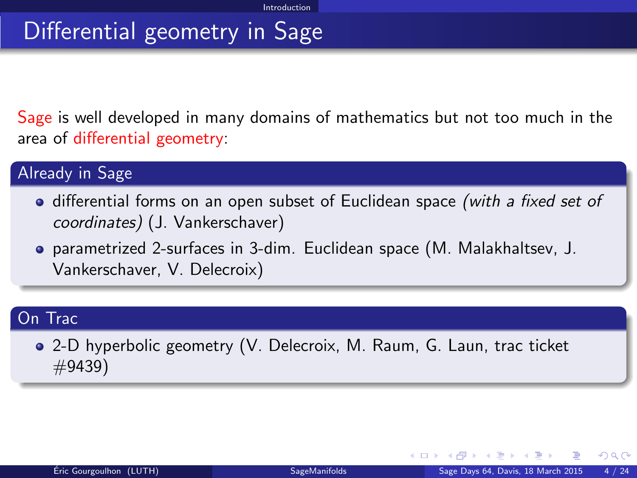# Differential geometry in Sage

Sage is well developed in many domains of mathematics but not too much in the area of differential geometry:

#### Already in Sage

- differential forms on an open subset of Euclidean space (with a fixed set of coordinates) (J. Vankerschaver)
- parametrized 2-surfaces in 3-dim. Euclidean space (M. Malakhaltsev, J. Vankerschaver, V. Delecroix)

#### On Trac

2-D hyperbolic geometry (V. Delecroix, M. Raum, G. Laun, trac ticket #9439)

<span id="page-3-0"></span> $\Omega$ 

イヨメ イヨメ

**← ロ ▶ → イ 同**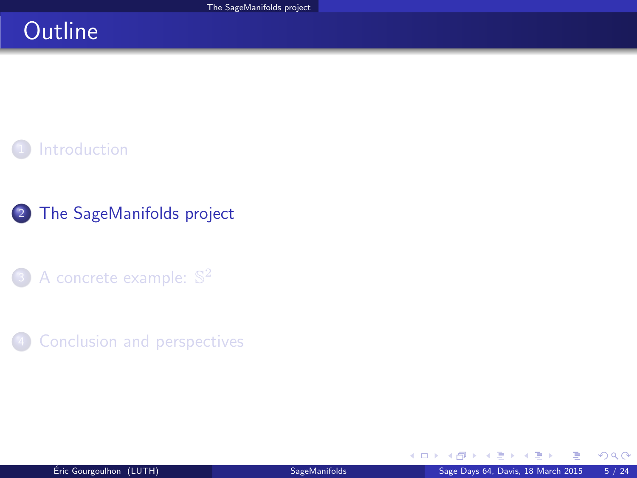# **Outline**



### 2 [The SageManifolds project](#page-4-0)

- 3 [A concrete example:](#page-25-0)  $\mathbb{S}^2$
- **[Conclusion and perspectives](#page-27-0)**

<span id="page-4-0"></span>4 0 8 4 a  $\sim$  $\mathcal{A}$  .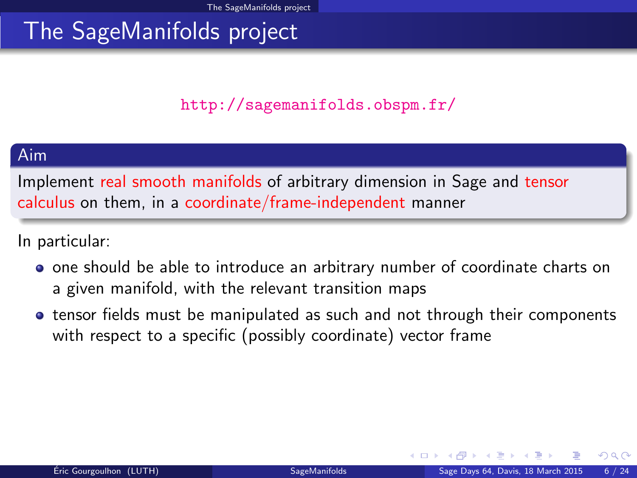### <span id="page-5-0"></span><http://sagemanifolds.obspm.fr/>

#### Aim

Implement real smooth manifolds of arbitrary dimension in Sage and tensor calculus on them, in a coordinate/frame-independent manner

In particular:

- one should be able to introduce an arbitrary number of coordinate charts on a given manifold, with the relevant transition maps
- tensor fields must be manipulated as such and not through their components with respect to a specific (possibly coordinate) vector frame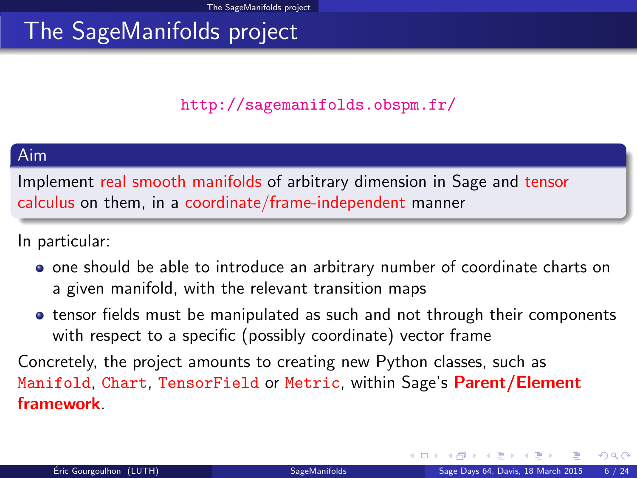### <http://sagemanifolds.obspm.fr/>

#### Aim

Implement real smooth manifolds of arbitrary dimension in Sage and tensor calculus on them, in a coordinate/frame-independent manner

In particular:

- one should be able to introduce an arbitrary number of coordinate charts on a given manifold, with the relevant transition maps
- tensor fields must be manipulated as such and not through their components with respect to a specific (possibly coordinate) vector frame

Concretely, the project amounts to creating new Python classes, such as Manifold, Chart, TensorField or Metric, within Sage's Parent/Element framework.

<span id="page-6-0"></span> $\Omega$ 

**← ロ ▶ → イ 同**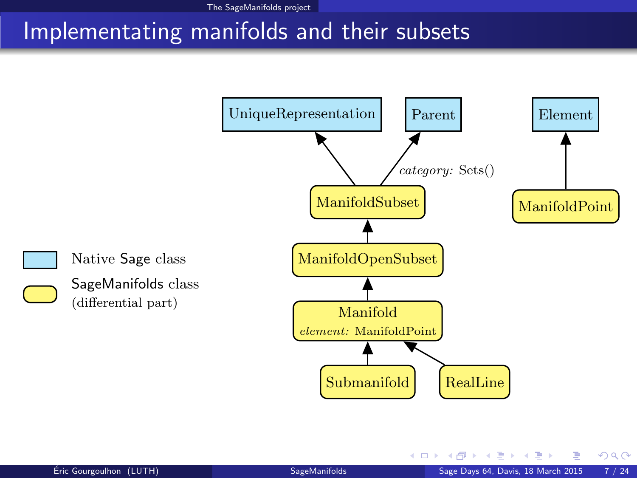## Implementating manifolds and their subsets



<span id="page-7-0"></span>4 0 8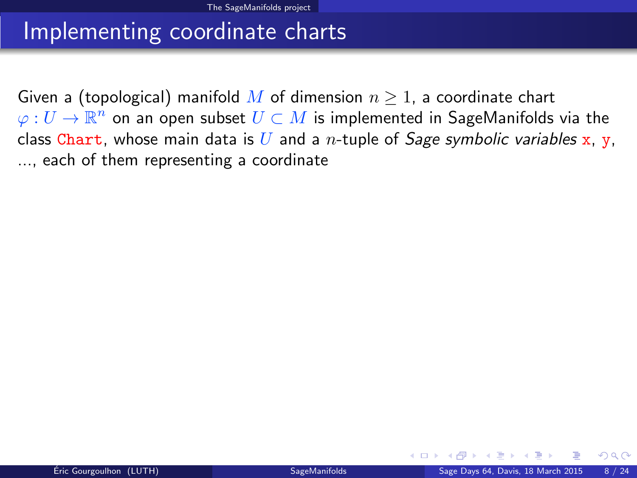## Implementing coordinate charts

<span id="page-8-0"></span>Given a (topological) manifold M of dimension  $n \geq 1$ , a coordinate chart  $\varphi:U\to \mathbb{R}^n$  on an open subset  $U\subset M$  is implemented in SageManifolds via the class Chart, whose main data is U and a n-tuple of Sage symbolic variables x, y, ..., each of them representing a coordinate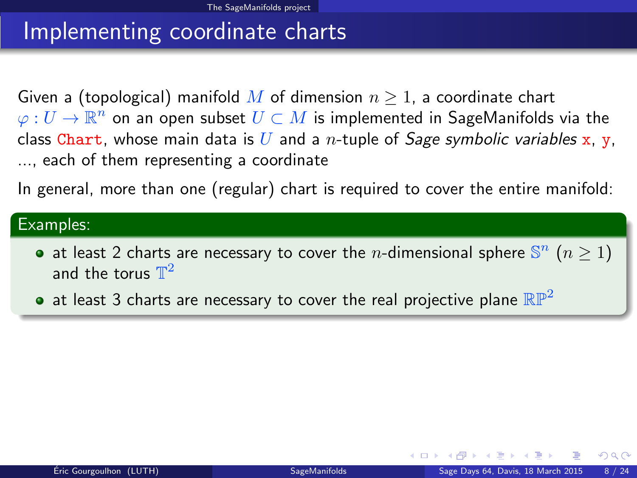# Implementing coordinate charts

Given a (topological) manifold M of dimension  $n \geq 1$ , a coordinate chart  $\varphi:U\to \mathbb{R}^n$  on an open subset  $U\subset M$  is implemented in SageManifolds via the class Chart, whose main data is U and a n-tuple of Sage symbolic variables x, y, ..., each of them representing a coordinate

In general, more than one (regular) chart is required to cover the entire manifold:

#### Examples:

- at least 2 charts are necessary to cover the *n*-dimensional sphere  $\mathbb{S}^n$  ( $n \ge 1$ ) and the torus  $\mathbb{T}^2$
- <span id="page-9-0"></span>• at least 3 charts are necessary to cover the real projective plane  $\mathbb{RP}^2$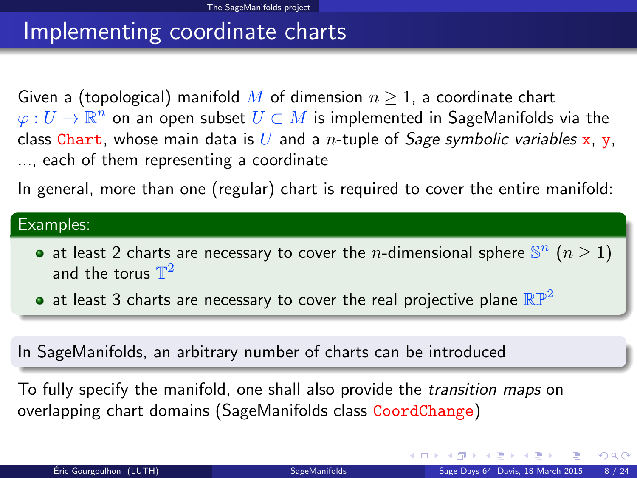# Implementing coordinate charts

Given a (topological) manifold M of dimension  $n \geq 1$ , a coordinate chart  $\varphi:U\to \mathbb{R}^n$  on an open subset  $U\subset M$  is implemented in SageManifolds via the class Chart, whose main data is U and a n-tuple of Sage symbolic variables x, y, ..., each of them representing a coordinate

In general, more than one (regular) chart is required to cover the entire manifold:

#### Examples:

- at least 2 charts are necessary to cover the *n*-dimensional sphere  $\mathbb{S}^n$  ( $n \ge 1$ ) and the torus  $\mathbb{T}^2$
- at least 3 charts are necessary to cover the real projective plane  $\mathbb{RP}^2$

In SageManifolds, an arbitrary number of charts can be introduced

To fully specify the manifold, one shall also provide the transition maps on overlapping chart domains (SageManifolds class CoordChange)

<span id="page-10-0"></span> $QQ$ 

 $\left\{ \begin{array}{ccc} 1 & 0 & 0 \\ 0 & 1 & 0 \end{array} \right\}$  ,  $\left\{ \begin{array}{ccc} 0 & 0 & 0 \\ 0 & 0 & 0 \end{array} \right\}$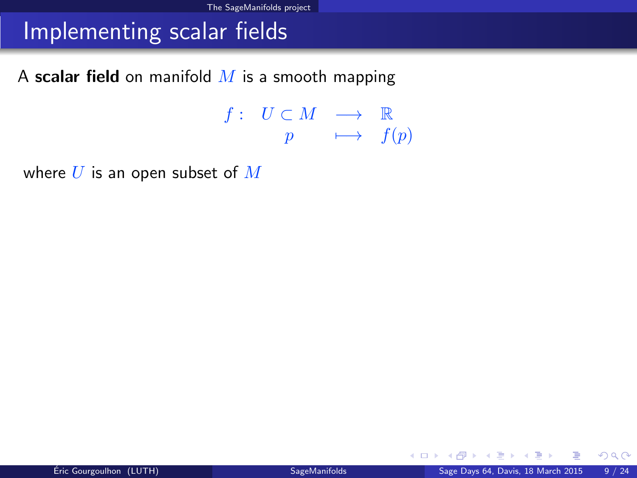### Implementing scalar fields

A scalar field on manifold  $M$  is a smooth mapping

 $f: U \subset M \longrightarrow \mathbb{R}$  $p \longrightarrow f(p)$ 

where  $U$  is an open subset of  $M$ 

<span id="page-11-0"></span>イロト イ押ト イヨト イヨト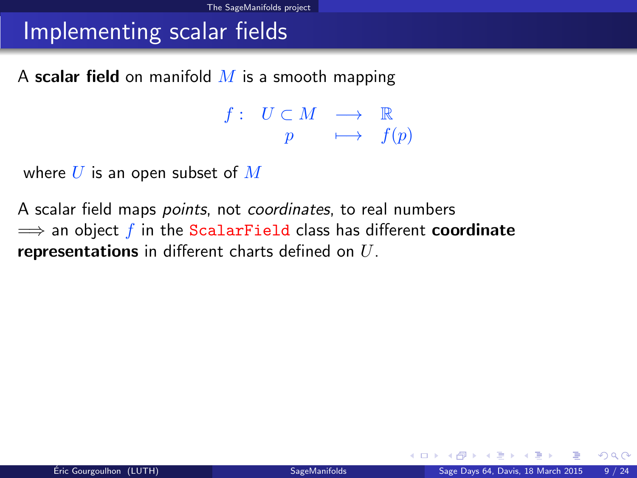### Implementing scalar fields

A scalar field on manifold  $M$  is a smooth mapping

<span id="page-12-0"></span> $f: U \subset M \longrightarrow \mathbb{R}$  $p \longrightarrow f(p)$ 

where  $U$  is an open subset of  $M$ 

A scalar field maps *points*, not *coordinates*, to real numbers  $\implies$  an object f in the ScalarField class has different **coordinate** representations in different charts defined on  $U$ .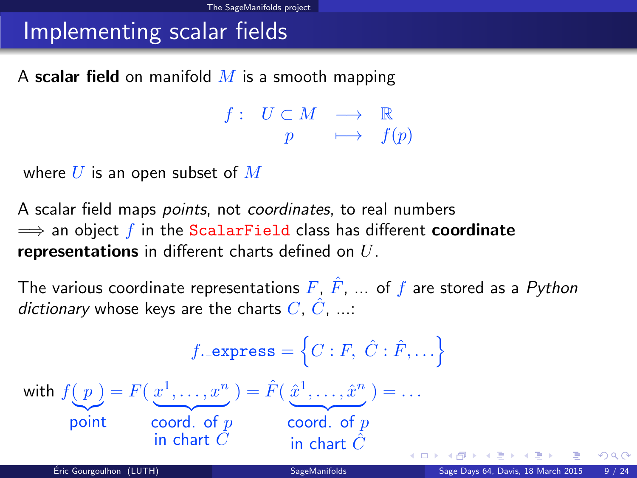# Implementing scalar fields

A scalar field on manifold  $M$  is a smooth mapping

<span id="page-13-0"></span> $f: U \subset M \longrightarrow \mathbb{R}$  $p \longrightarrow f(p)$ 

where  $U$  is an open subset of  $M$ 

A scalar field maps *points*, not *coordinates*, to real numbers  $\implies$  an object f in the ScalarField class has different coordinate representations in different charts defined on  $U$ .

The various coordinate representations  $F, \hat{F}, \dots$  of f are stored as a Python dictionary whose keys are the charts  $C, \hat{C}, \dots$ 

$$
f.\text{express} = \left\{ C : F, \hat{C} : \hat{F}, \dots \right\}
$$
\n
$$
\text{with } f(p) = F\left(\frac{x^1}{\dots}, \dots, x^n\right) = \hat{F}\left(\frac{\hat{x}^1}{\dots}, \dots, \hat{x}^n\right) = \dots
$$
\n
$$
\text{point} \qquad \text{coord. of } p \qquad \text{coord. of } p
$$
\n
$$
\text{in chart } \hat{C}
$$
\n
$$
\text{Eir. Gourgoulhon (LUTH)} \qquad \text{Sage Manifolds} \qquad \text{Sage Day 64, Davis, 18 March 2015 9/24}
$$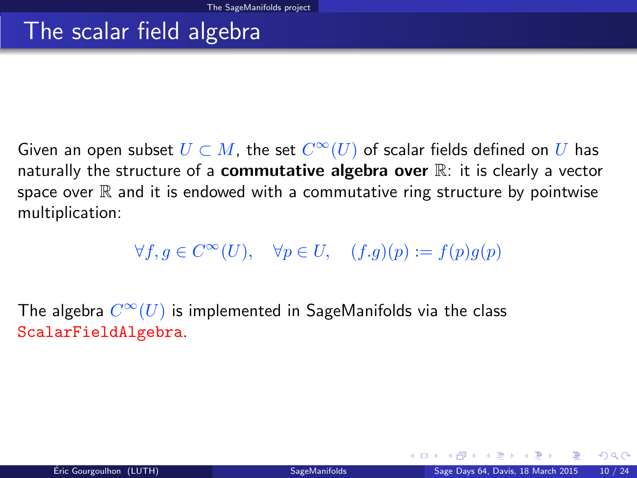### The scalar field algebra

Given an open subset  $U \subset M$ , the set  $C^\infty(U)$  of scalar fields defined on  $U$  has naturally the structure of a **commutative algebra over**  $\mathbb{R}$ : it is clearly a vector space over  $\mathbb R$  and it is endowed with a commutative ring structure by pointwise multiplication:

### <span id="page-14-0"></span> $\forall f, g \in C^{\infty}(U), \quad \forall p \in U, \quad (f.g)(p) := f(p)g(p)$

The algebra  $C^\infty(U)$  is implemented in SageManifolds via the class ScalarFieldAlgebra.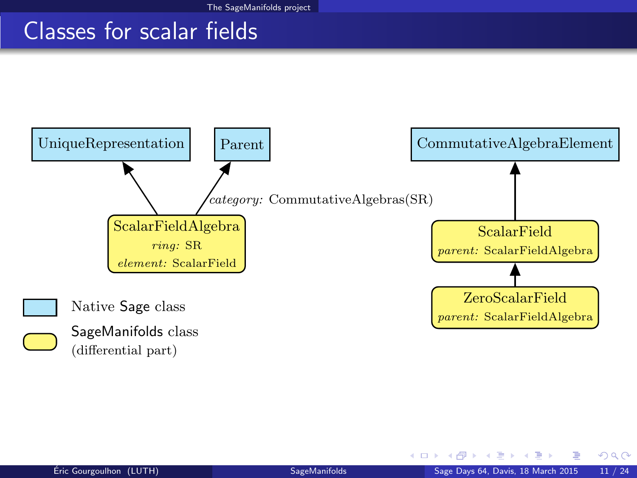### Classes for scalar fields



<span id="page-15-0"></span> $298$ 

 $\sim$ 

4 日下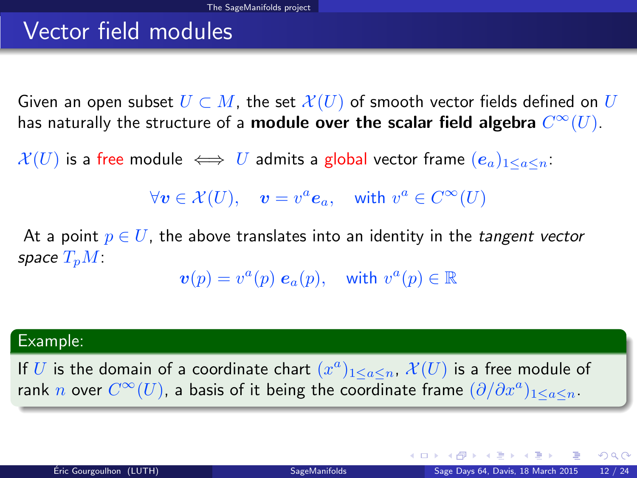# Vector field modules

Given an open subset  $U \subset M$ , the set  $\mathcal{X}(U)$  of smooth vector fields defined on U has naturally the structure of a **module over the scalar field algebra**  $C^\infty(U).$ 

 $\mathcal{X}(U)$  is a free module  $\iff U$  admits a global vector frame  $(e_a)_{1\leq a\leq n}$ .

 $\forall v \in \mathcal{X}(U), \quad v = v^a \mathbf{e}_a, \quad \text{with } v^a \in C^\infty(U)$ 

At a point  $p \in U$ , the above translates into an identity in the *tangent vector* space  $T_pM$ :

 $\boldsymbol{v}(p) = v^a(p) \; \boldsymbol{e}_a(p), \quad \text{with } v^a(p) \in \mathbb{R}$ 

#### Example:

If U is the domain of a coordinate chart  $(x^a)_{1\leq a\leq n}$ ,  $\mathcal{X}(U)$  is a free module of rank  $n$  over  $C^\infty(U)$ , a basis of it being the coordinate frame  $(\partial/\partial x^a)_{1\leq a\leq n}.$ 

<span id="page-16-0"></span> $QQ$ 

メロメ メ都 メメ きょうくぼ メー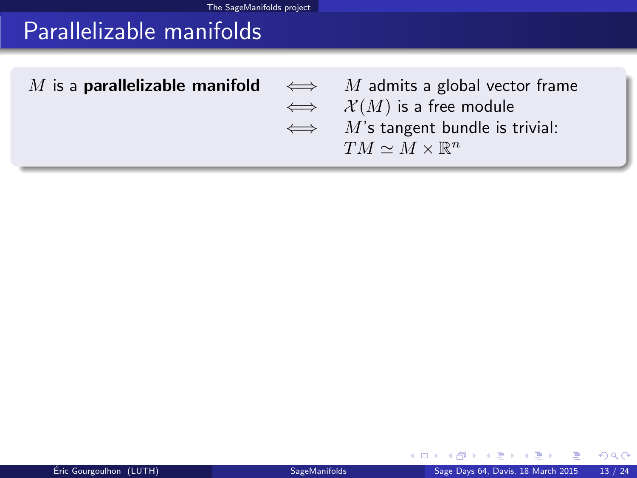# Parallelizable manifolds

| M is a <b>parallelizable manifold</b> $\iff$ M admits a global vector frame |                                          |
|-----------------------------------------------------------------------------|------------------------------------------|
|                                                                             | $\iff$ $\mathcal{X}(M)$ is a free module |
|                                                                             | $\iff$ M's tangent bundle is trivial:    |
|                                                                             | $TM \sim M \times \mathbb{R}^n$          |
|                                                                             |                                          |

4 0 8 4

<span id="page-17-0"></span> $\sim$  $\mathcal{A}$  . ÷  $\sim$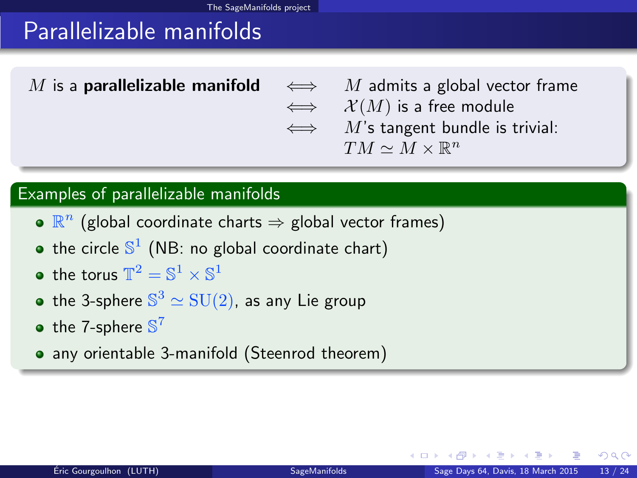# Parallelizable manifolds

M is a **parallelizable manifold**  $\iff$  M admits a global vector frame  $\iff$   $\mathcal{X}(M)$  is a free module  $\iff$  M's tangent bundle is trivial:  $TM \simeq M \times \mathbb{R}^n$ 

#### Examples of parallelizable manifolds

- $\mathbb{R}^n$  (global coordinate charts  $\Rightarrow$  global vector frames)
- the circle  $\mathbb{S}^1$  (NB: no global coordinate chart)
- the torus  $\mathbb{T}^2 = \mathbb{S}^1 \times \mathbb{S}^1$
- the 3-sphere  $\mathbb{S}^3 \simeq \mathrm{SU}(2)$ , as any Lie group
- the 7-sphere  $\mathbb{S}^7$
- <span id="page-18-0"></span>• any orientable 3-manifold (Steenrod theorem)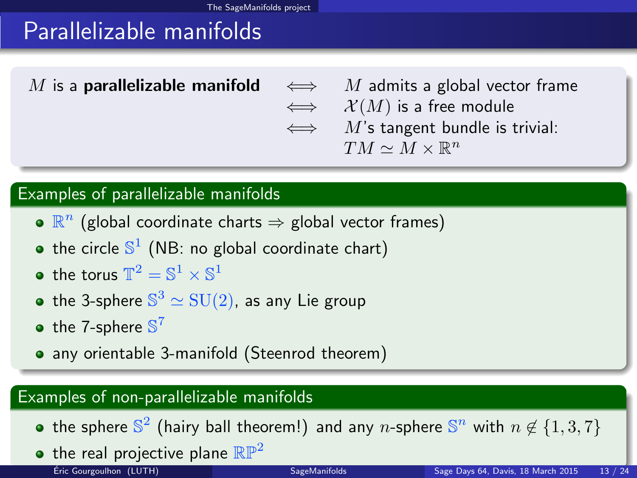# Parallelizable manifolds

M is a **parallelizable manifold**  $\iff$  M admits a global vector frame  $\iff$   $\mathcal{X}(M)$  is a free module  $\iff$  M's tangent bundle is trivial:  $TM \simeq M \times \mathbb{R}^n$ 

#### Examples of parallelizable manifolds

- $\mathbb{R}^n$  (global coordinate charts  $\Rightarrow$  global vector frames)
- the circle  $\mathbb{S}^1$  (NB: no global coordinate chart)
- the torus  $\mathbb{T}^2 = \mathbb{S}^1 \times \mathbb{S}^1$
- the 3-sphere  $\mathbb{S}^3 \simeq \mathrm{SU}(2)$ , as any Lie group
- the 7-sphere  $\mathbb{S}^7$
- any orientable 3-manifold (Steenrod theorem)

#### Examples of non-parallelizable manifolds

- the sphere  $\mathbb{S}^2$  (hairy ball theorem!) and any n-sphere  $\mathbb{S}^n$  with  $n \not\in \{1,3,7\}$
- <span id="page-19-0"></span>• the real projective plane  $\mathbb{RP}^2$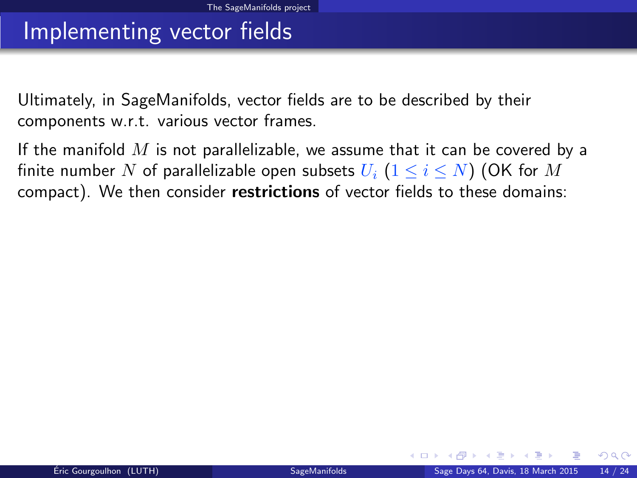### Implementing vector fields

Ultimately, in SageManifolds, vector fields are to be described by their components w.r.t. various vector frames.

<span id="page-20-0"></span>If the manifold  $M$  is not parallelizable, we assume that it can be covered by a finite number N of parallelizable open subsets  $U_i$   $(1 \le i \le N)$  (OK for M compact). We then consider restrictions of vector fields to these domains: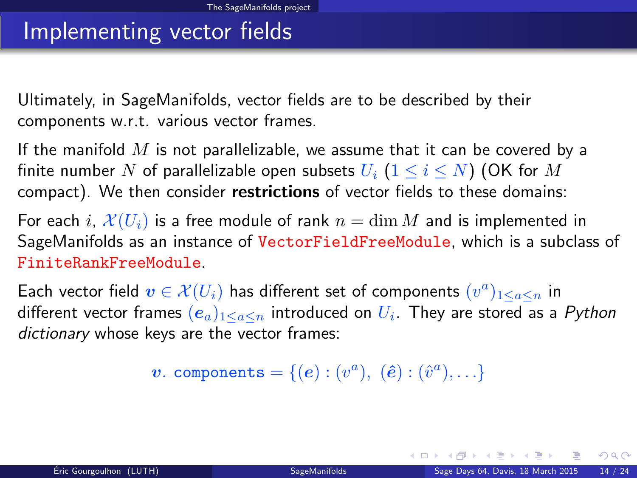### Implementing vector fields

Ultimately, in SageManifolds, vector fields are to be described by their components w.r.t. various vector frames.

If the manifold  $M$  is not parallelizable, we assume that it can be covered by a finite number N of parallelizable open subsets  $U_i$   $(1 \le i \le N)$  (OK for M compact). We then consider restrictions of vector fields to these domains:

For each i,  $\mathcal{X}(U_i)$  is a free module of rank  $n = \dim M$  and is implemented in SageManifolds as an instance of VectorFieldFreeModule, which is a subclass of FiniteRankFreeModule.

Each vector field  $\boldsymbol{v} \in \mathcal{X}(U_i)$  has different set of components  $(v^a)_{1 \leq a \leq n}$  in different vector frames  $(e_a)_{1\leq a\leq n}$  introduced on  $U_i$ . They are stored as a  $Python$ dictionary whose keys are the vector frames:

 $\boldsymbol{v}$ . components =  $\{(\boldsymbol{e}): (v^a),\; (\hat{\boldsymbol{e}}): (\hat{v}^a), \ldots\}$ 

<span id="page-21-0"></span> $\Omega$ 

メロト メ母 トメミト メミト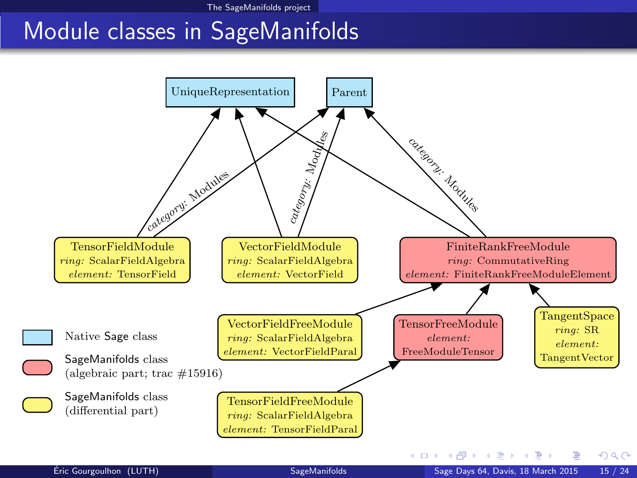# <span id="page-22-0"></span>Module classes in SageManifolds

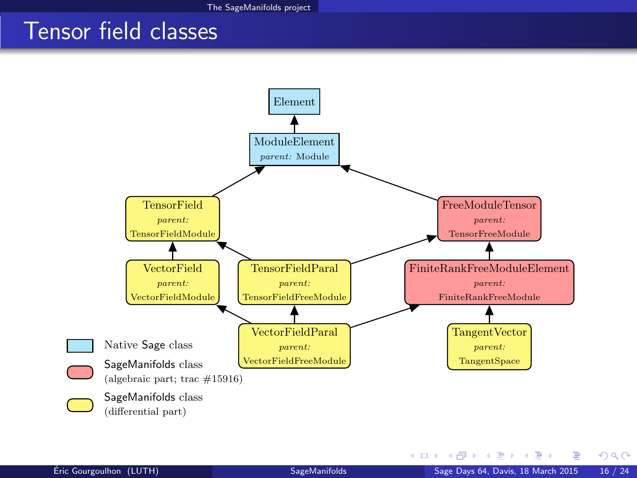### Tensor field classes



<span id="page-23-0"></span>イロト イ押 トイヨ トイヨ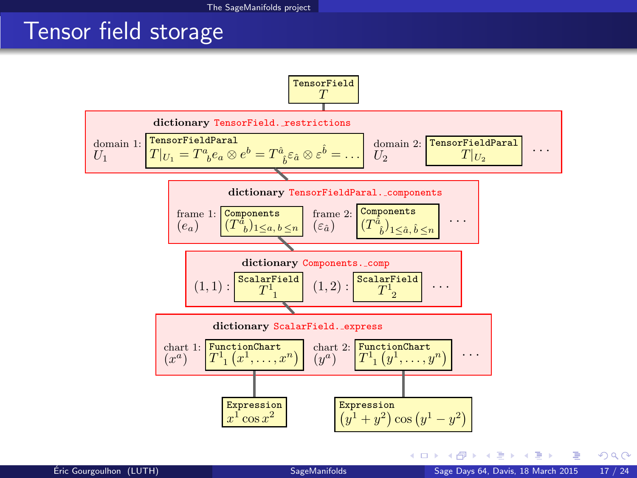### Tensor field storage

<span id="page-24-0"></span>![](_page_24_Figure_2.jpeg)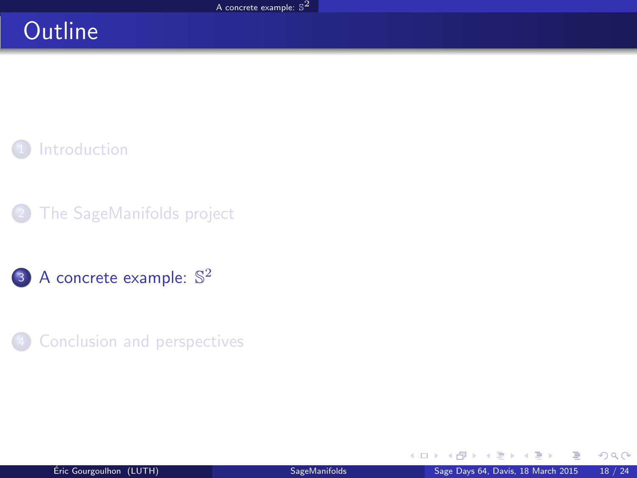# **Outline**

**[Introduction](#page-2-0)** 

[The SageManifolds project](#page-4-0)

3 [A concrete example:](#page-25-0)  $\mathbb{S}^2$ 

**[Conclusion and perspectives](#page-27-0)** 

<span id="page-25-0"></span> $\mathbb{R}^n \times \mathbb{R}^n \xrightarrow{\sim} \mathbb{R}^n \times \mathbb{R}^n \xrightarrow{\sim} \mathbb{R}^n$ 

4 0 8 4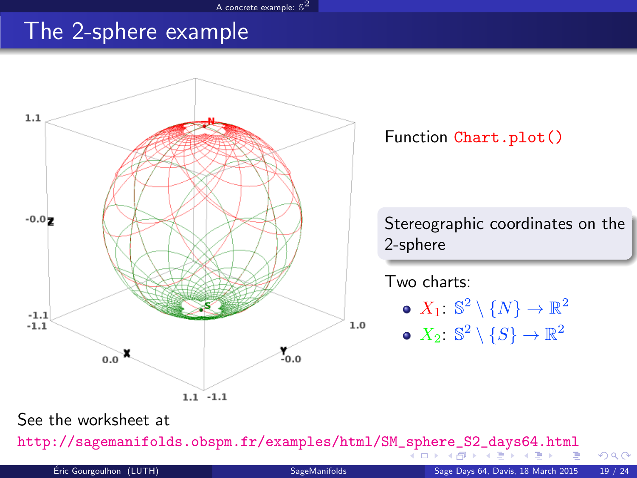#### <span id="page-26-0"></span>[A concrete example:](#page-26-0)  $\mathbb{S}^2$

### The 2-sphere example

![](_page_26_Figure_2.jpeg)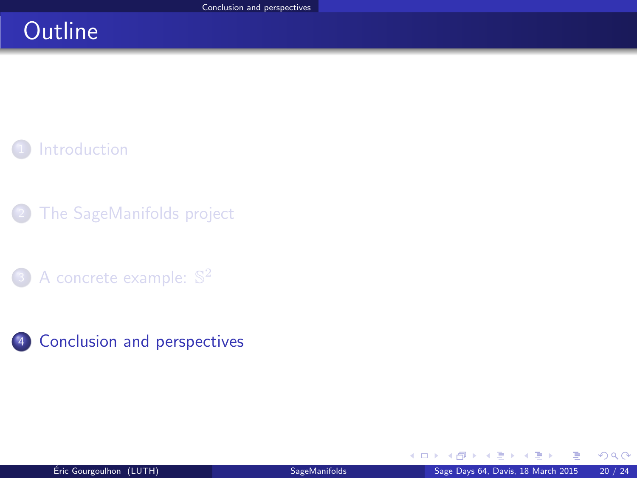# **Outline**

**[Introduction](#page-2-0)** 

- [The SageManifolds project](#page-4-0)
- 3 [A concrete example:](#page-25-0)  $\mathbb{S}^2$
- 4 [Conclusion and perspectives](#page-27-0)

<span id="page-27-0"></span>**Biskin** 

4 0 8 1

 $\sim$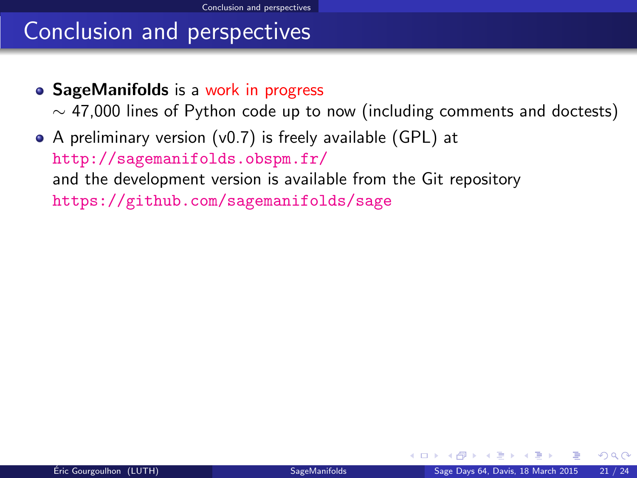# Conclusion and perspectives

• SageManifolds is a work in progress

<span id="page-28-0"></span> $\sim$  47,000 lines of Python code up to now (including comments and doctests)

A preliminary version (v0.7) is freely available (GPL) at <http://sagemanifolds.obspm.fr/> and the development version is available from the Git repository <https://github.com/sagemanifolds/sage>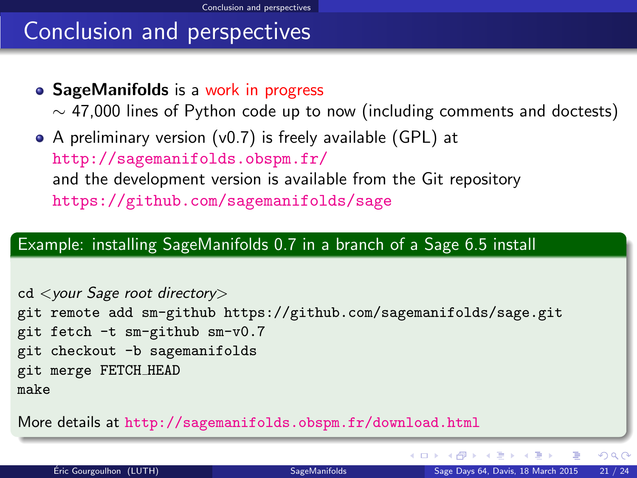# Conclusion and perspectives

• SageManifolds is a work in progress

 $\sim$  47,000 lines of Python code up to now (including comments and doctests)

A preliminary version (v0.7) is freely available (GPL) at <http://sagemanifolds.obspm.fr/> and the development version is available from the Git repository <https://github.com/sagemanifolds/sage>

#### Example: installing SageManifolds 0.7 in a branch of a Sage 6.5 install

cd <your Sage root directory> git remote add sm-github<https://github.com/sagemanifolds/sage.git> git fetch -t sm-github sm-v0.7 git checkout -b sagemanifolds git merge FETCH HEAD make

More details at <http://sagemanifolds.obspm.fr/download.html>

イロト イ押 トイヨ トイヨ

<span id="page-29-0"></span> $QQ$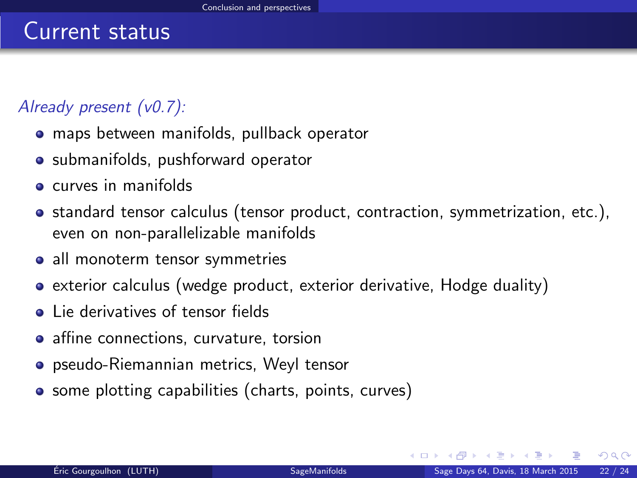### Already present (v0.7):

- maps between manifolds, pullback operator
- submanifolds, pushforward operator
- **e** curves in manifolds
- standard tensor calculus (tensor product, contraction, symmetrization, etc.), even on non-parallelizable manifolds
- all monoterm tensor symmetries
- exterior calculus (wedge product, exterior derivative, Hodge duality)
- **.** Lie derivatives of tensor fields
- affine connections, curvature, torsion
- pseudo-Riemannian metrics, Weyl tensor
- <span id="page-30-0"></span>• some plotting capabilities (charts, points, curves)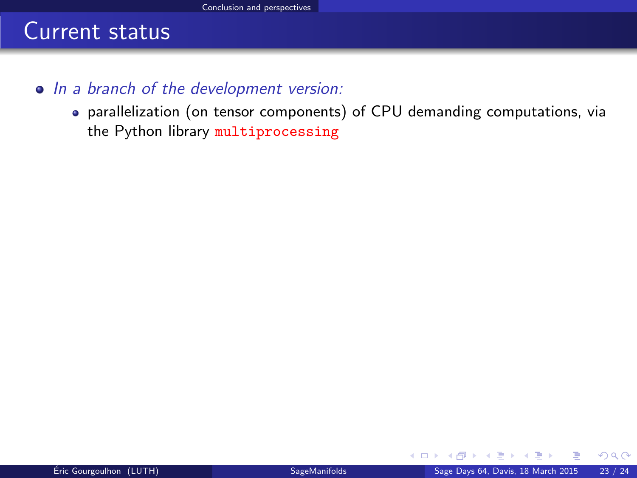- In a branch of the development version:
	- parallelization (on tensor components) of CPU demanding computations, via the Python library multiprocessing

<span id="page-31-0"></span>4 日下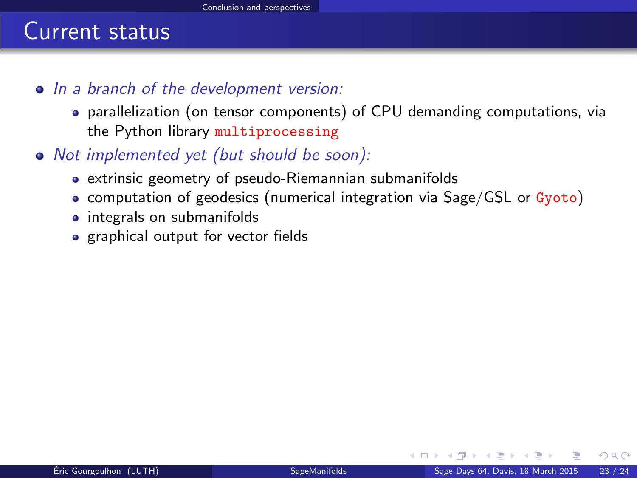- In a branch of the development version:
	- parallelization (on tensor components) of CPU demanding computations, via the Python library multiprocessing
- <span id="page-32-0"></span>Not implemented yet (but should be soon):
	- extrinsic geometry of pseudo-Riemannian submanifolds
	- computation of geodesics (numerical integration via Sage/GSL or Gyoto)
	- integrals on submanifolds
	- graphical output for vector fields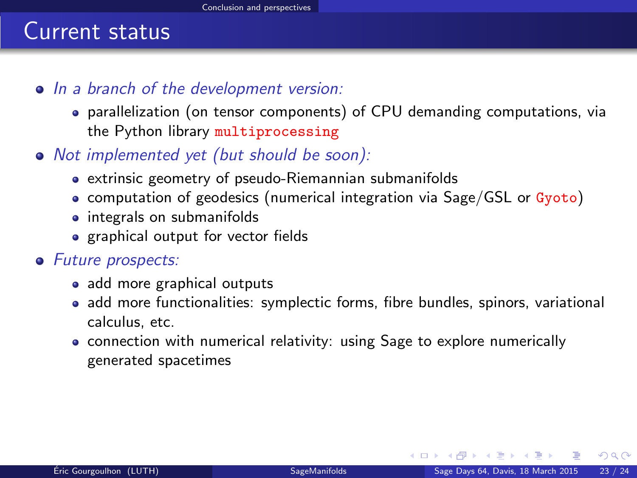- In a branch of the development version:
	- parallelization (on tensor components) of CPU demanding computations, via the Python library multiprocessing
- Not implemented yet (but should be soon):
	- extrinsic geometry of pseudo-Riemannian submanifolds
	- computation of geodesics (numerical integration via Sage/GSL or Gyoto)
	- integrals on submanifolds
	- graphical output for vector fields

#### • Future prospects:

- add more graphical outputs
- add more functionalities: symplectic forms, fibre bundles, spinors, variational calculus, etc.
- <span id="page-33-0"></span>• connection with numerical relativity: using Sage to explore numerically generated spacetimes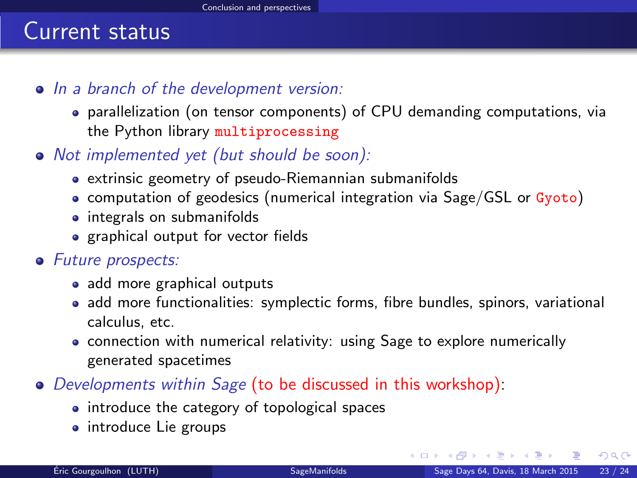- In a branch of the development version:
	- parallelization (on tensor components) of CPU demanding computations, via the Python library multiprocessing
- Not implemented yet (but should be soon):
	- extrinsic geometry of pseudo-Riemannian submanifolds
	- computation of geodesics (numerical integration via Sage/GSL or Gyoto)
	- integrals on submanifolds
	- graphical output for vector fields

#### • Future prospects:

- add more graphical outputs
- add more functionalities: symplectic forms, fibre bundles, spinors, variational calculus, etc.
- connection with numerical relativity: using Sage to explore numerically generated spacetimes
- Developments within Sage (to be discussed in this workshop):
	- introduce the category of topological spaces
	- introduce Lie groups

<span id="page-34-0"></span> $\Omega$ 

医阿里氏阿里

**← ロ ▶ → イ 同**